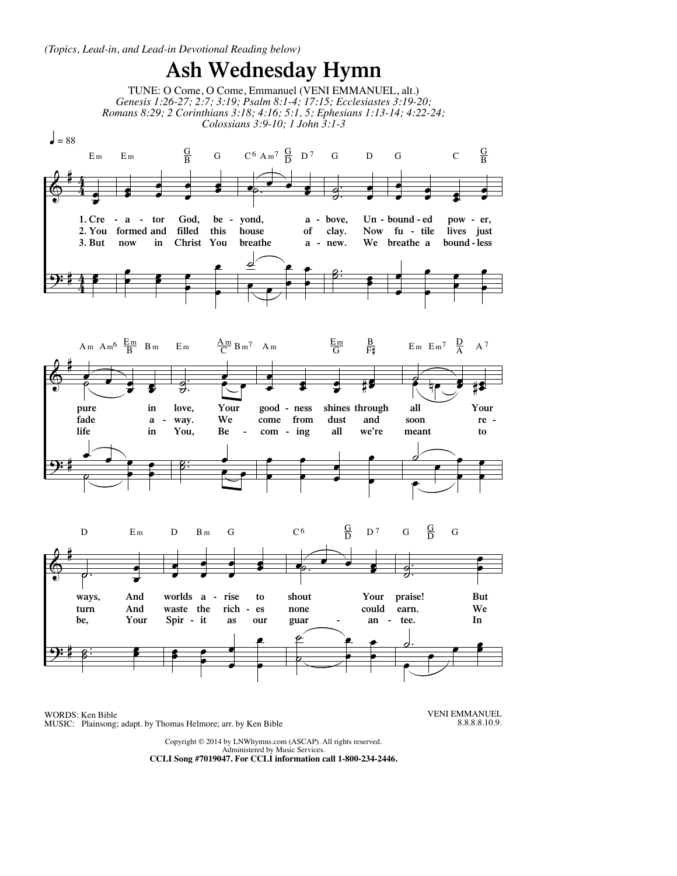## **Ash Wednesday Hymn**

TUNE: O Come, O Come, Emmanuel (VENI EMMANUEL, alt.) *Genesis 1:26-27; 2:7; 3:19; Psalm 8:1-4; 17:15; Ecclesiastes 3:19-20; Romans 8:29; 2 Corinthians 3:18; 4:16; 5:1, 5; Ephesians 1:13-14; 4:22-24; Colossians 3:9-10; 1 John 3:1-3*



WORDS: Ken Bible MUSIC: Plainsong; adapt. by Thomas Helmore; arr. by Ken Bible VENI EMMANUEL 8.8.8.8.10.9.

Copyright © 2014 by LNWhymns.com (ASCAP). All rights reserved. Administered by Music Services. **CCLI Song #7019047. For CCLI information call 1-800-234-2446.**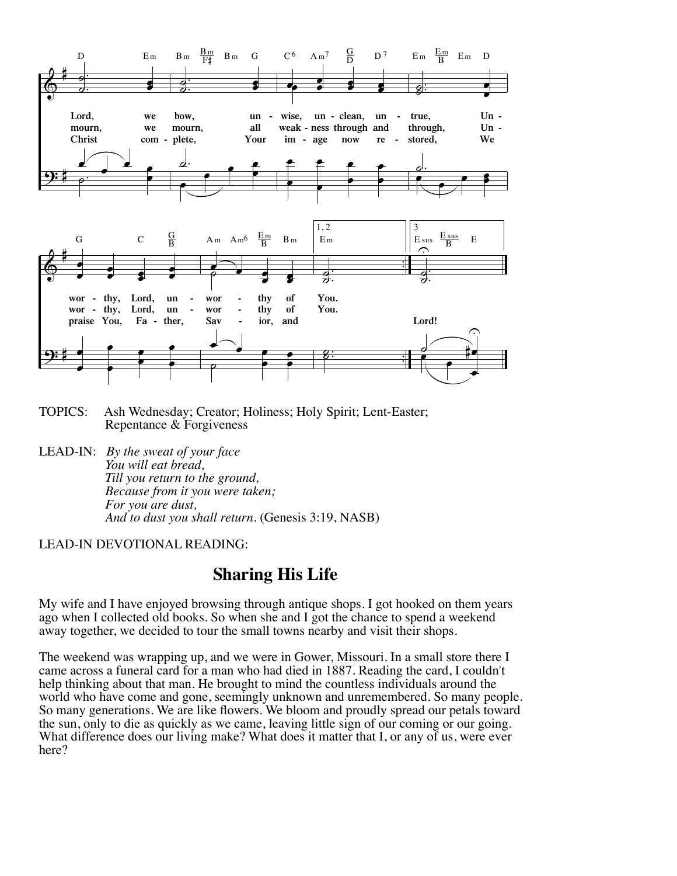

- TOPICS: Ash Wednesday; Creator; Holiness; Holy Spirit; Lent-Easter; Repentance & Forgiveness
- LEAD-IN: *By the sweat of your face*<br>*You will eat bread,*<br>*Till you return to the ground,*<br>*Because from it you were taken;*<br>*For you are dust*,  *And to dust you shall return.* (Genesis 3:19, NASB)

## LEAD-IN DEVOTIONAL READING:

## **Sharing His Life**

My wife and I have enjoyed browsing through antique shops. I got hooked on them years ago when I collected old books. So when she and I got the chance to spend a weekend away together, we decided to tour the small towns nearby and visit their shops.

The weekend was wrapping up, and we were in Gower, Missouri. In a small store there I came across a funeral card for a man who had died in 1887. Reading the card, I couldn't help thinking about that man. He brought to mind the countless individuals around the world who have come and gone, seemingly unknown and unremembered. So many people. So many generations. We are like flowers. We bloom and proudly spread our petals toward the sun, only to die as quickly as we came, leaving little sign of our coming or our going. What difference does our living make? What does it matter that I, or any of us, were ever here?